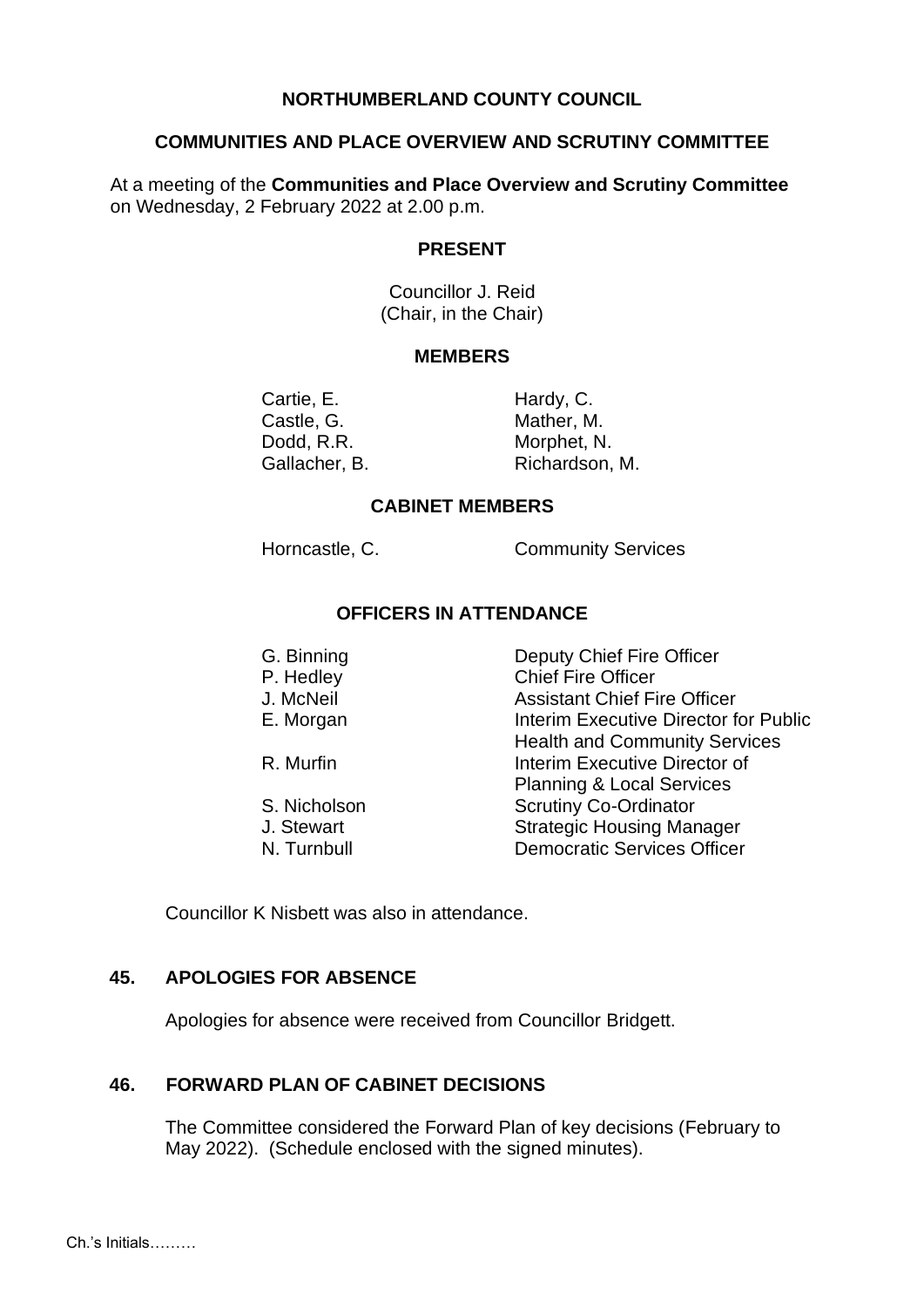### **NORTHUMBERLAND COUNTY COUNCIL**

#### **COMMUNITIES AND PLACE OVERVIEW AND SCRUTINY COMMITTEE**

At a meeting of the **Communities and Place Overview and Scrutiny Committee** on Wednesday, 2 February 2022 at 2.00 p.m.

### **PRESENT**

Councillor J. Reid (Chair, in the Chair)

#### **MEMBERS**

Cartie, E. Hardy, C. Castle, G. Mather, M. Dodd, R.R. Morphet, N.

Gallacher, B. Richardson, M.

#### **CABINET MEMBERS**

Horncastle, C. Community Services

# **OFFICERS IN ATTENDANCE**

| G. Binning<br>P. Hedley | Deputy Chief Fire Officer<br><b>Chief Fire Officer</b> |
|-------------------------|--------------------------------------------------------|
| J. McNeil               | <b>Assistant Chief Fire Officer</b>                    |
| E. Morgan               | Interim Executive Director for Public                  |
|                         | <b>Health and Community Services</b>                   |
| R. Murfin               | Interim Executive Director of                          |
|                         | <b>Planning &amp; Local Services</b>                   |
| S. Nicholson            | <b>Scrutiny Co-Ordinator</b>                           |
| J. Stewart              | <b>Strategic Housing Manager</b>                       |
| N. Turnbull             | <b>Democratic Services Officer</b>                     |

Councillor K Nisbett was also in attendance.

## **45. APOLOGIES FOR ABSENCE**

Apologies for absence were received from Councillor Bridgett.

#### **46. FORWARD PLAN OF CABINET DECISIONS**

The Committee considered the Forward Plan of key decisions (February to May 2022). (Schedule enclosed with the signed minutes).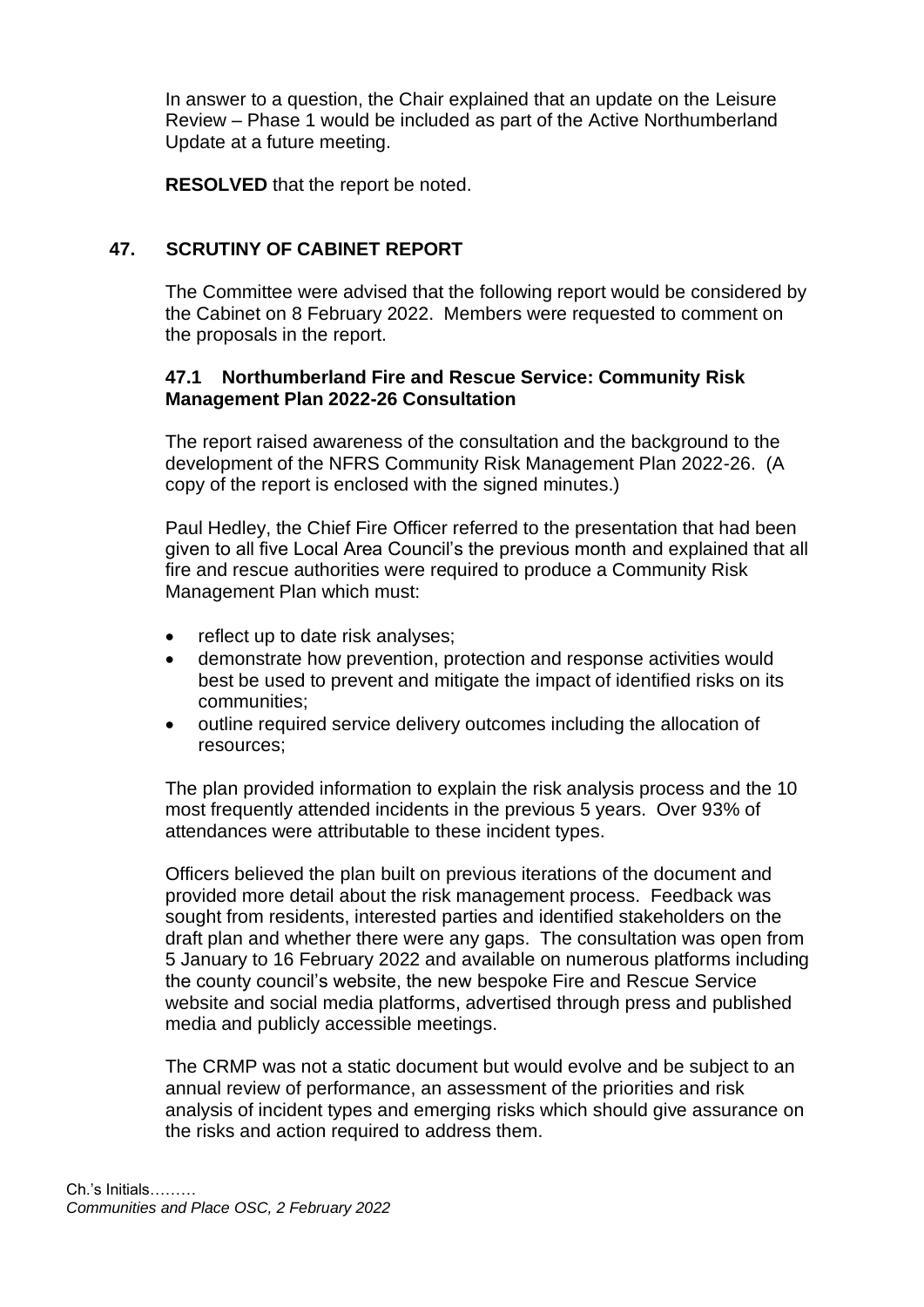In answer to a question, the Chair explained that an update on the Leisure Review – Phase 1 would be included as part of the Active Northumberland Update at a future meeting.

**RESOLVED** that the report be noted.

# **47. SCRUTINY OF CABINET REPORT**

The Committee were advised that the following report would be considered by the Cabinet on 8 February 2022. Members were requested to comment on the proposals in the report.

# **47.1 Northumberland Fire and Rescue Service: Community Risk Management Plan 2022-26 Consultation**

The report raised awareness of the consultation and the background to the development of the NFRS Community Risk Management Plan 2022-26. (A copy of the report is enclosed with the signed minutes.)

Paul Hedley, the Chief Fire Officer referred to the presentation that had been given to all five Local Area Council's the previous month and explained that all fire and rescue authorities were required to produce a Community Risk Management Plan which must:

- reflect up to date risk analyses;
- demonstrate how prevention, protection and response activities would best be used to prevent and mitigate the impact of identified risks on its communities;
- outline required service delivery outcomes including the allocation of resources;

The plan provided information to explain the risk analysis process and the 10 most frequently attended incidents in the previous 5 years. Over 93% of attendances were attributable to these incident types.

Officers believed the plan built on previous iterations of the document and provided more detail about the risk management process. Feedback was sought from residents, interested parties and identified stakeholders on the draft plan and whether there were any gaps. The consultation was open from 5 January to 16 February 2022 and available on numerous platforms including the county council's website, the new bespoke Fire and Rescue Service website and social media platforms, advertised through press and published media and publicly accessible meetings.

The CRMP was not a static document but would evolve and be subject to an annual review of performance, an assessment of the priorities and risk analysis of incident types and emerging risks which should give assurance on the risks and action required to address them.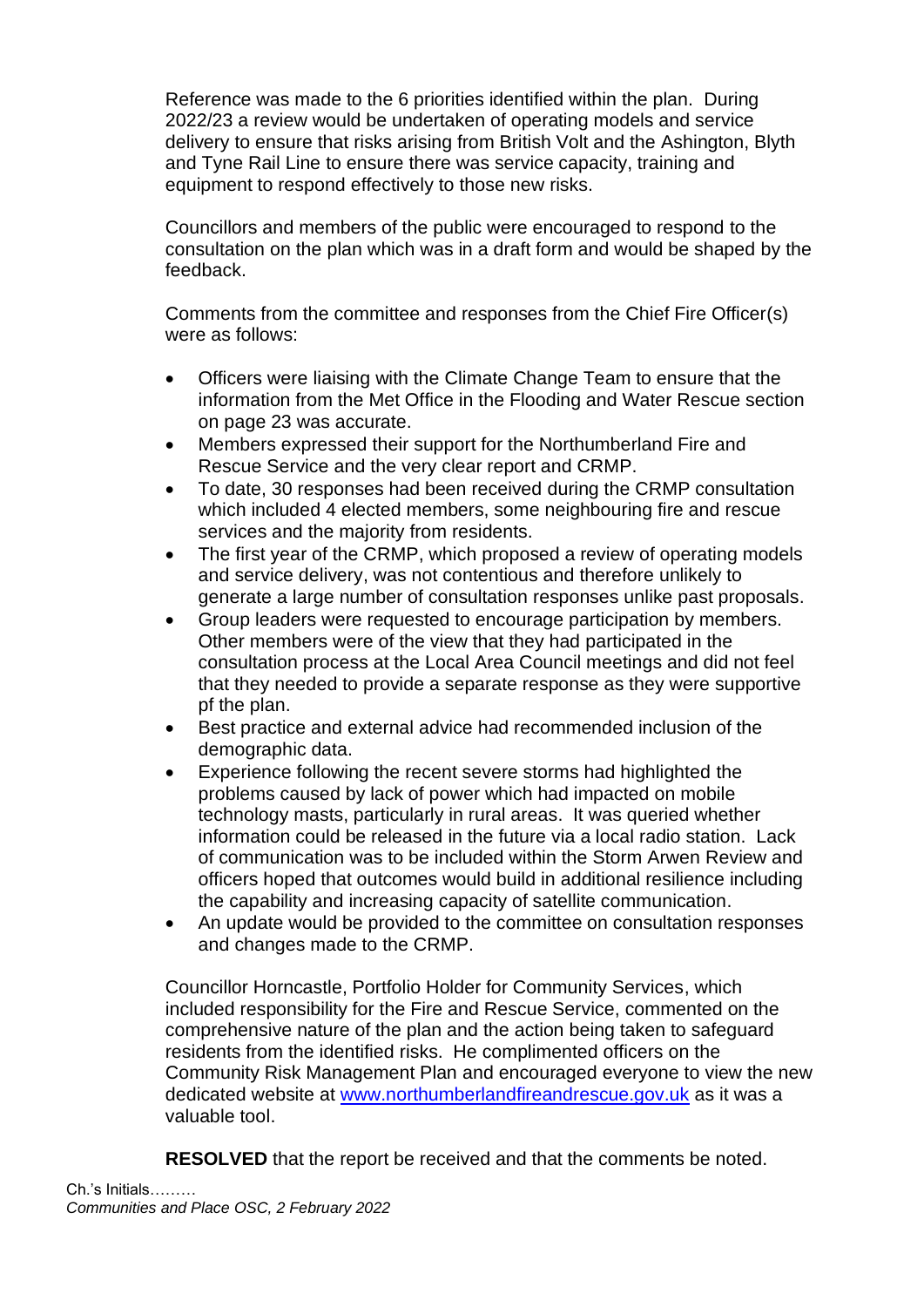Reference was made to the 6 priorities identified within the plan. During 2022/23 a review would be undertaken of operating models and service delivery to ensure that risks arising from British Volt and the Ashington, Blyth and Tyne Rail Line to ensure there was service capacity, training and equipment to respond effectively to those new risks.

Councillors and members of the public were encouraged to respond to the consultation on the plan which was in a draft form and would be shaped by the feedback.

Comments from the committee and responses from the Chief Fire Officer(s) were as follows:

- Officers were liaising with the Climate Change Team to ensure that the information from the Met Office in the Flooding and Water Rescue section on page 23 was accurate.
- Members expressed their support for the Northumberland Fire and Rescue Service and the very clear report and CRMP.
- To date, 30 responses had been received during the CRMP consultation which included 4 elected members, some neighbouring fire and rescue services and the majority from residents.
- The first year of the CRMP, which proposed a review of operating models and service delivery, was not contentious and therefore unlikely to generate a large number of consultation responses unlike past proposals.
- Group leaders were requested to encourage participation by members. Other members were of the view that they had participated in the consultation process at the Local Area Council meetings and did not feel that they needed to provide a separate response as they were supportive pf the plan.
- Best practice and external advice had recommended inclusion of the demographic data.
- Experience following the recent severe storms had highlighted the problems caused by lack of power which had impacted on mobile technology masts, particularly in rural areas. It was queried whether information could be released in the future via a local radio station. Lack of communication was to be included within the Storm Arwen Review and officers hoped that outcomes would build in additional resilience including the capability and increasing capacity of satellite communication.
- An update would be provided to the committee on consultation responses and changes made to the CRMP.

Councillor Horncastle, Portfolio Holder for Community Services, which included responsibility for the Fire and Rescue Service, commented on the comprehensive nature of the plan and the action being taken to safeguard residents from the identified risks. He complimented officers on the Community Risk Management Plan and encouraged everyone to view the new dedicated website at [www.northumberlandfireandrescue.gov.uk](http://www.northumberlandfireandrescue.gov.uk/) as it was a valuable tool.

**RESOLVED** that the report be received and that the comments be noted.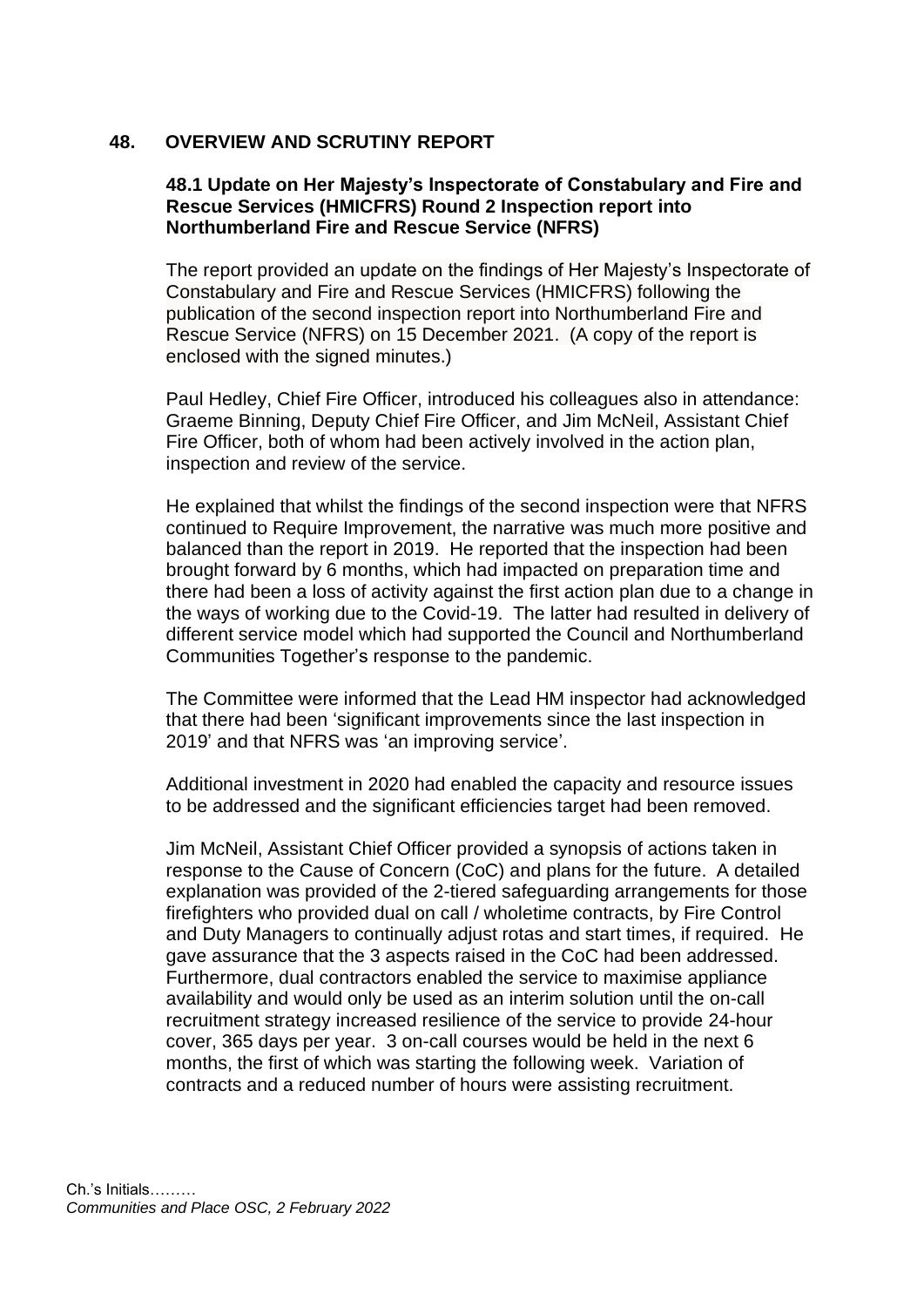# **48. OVERVIEW AND SCRUTINY REPORT**

### **48.1 Update on Her Majesty's Inspectorate of Constabulary and Fire and Rescue Services (HMICFRS) Round 2 Inspection report into Northumberland Fire and Rescue Service (NFRS)**

The report provided an update on the findings of Her Majesty's Inspectorate of Constabulary and Fire and Rescue Services (HMICFRS) following the publication of the second inspection report into Northumberland Fire and Rescue Service (NFRS) on 15 December 2021. (A copy of the report is enclosed with the signed minutes.)

Paul Hedley, Chief Fire Officer, introduced his colleagues also in attendance: Graeme Binning, Deputy Chief Fire Officer, and Jim McNeil, Assistant Chief Fire Officer, both of whom had been actively involved in the action plan, inspection and review of the service.

He explained that whilst the findings of the second inspection were that NFRS continued to Require Improvement, the narrative was much more positive and balanced than the report in 2019. He reported that the inspection had been brought forward by 6 months, which had impacted on preparation time and there had been a loss of activity against the first action plan due to a change in the ways of working due to the Covid-19. The latter had resulted in delivery of different service model which had supported the Council and Northumberland Communities Together's response to the pandemic.

The Committee were informed that the Lead HM inspector had acknowledged that there had been 'significant improvements since the last inspection in 2019' and that NFRS was 'an improving service'.

Additional investment in 2020 had enabled the capacity and resource issues to be addressed and the significant efficiencies target had been removed.

Jim McNeil, Assistant Chief Officer provided a synopsis of actions taken in response to the Cause of Concern (CoC) and plans for the future. A detailed explanation was provided of the 2-tiered safeguarding arrangements for those firefighters who provided dual on call / wholetime contracts, by Fire Control and Duty Managers to continually adjust rotas and start times, if required. He gave assurance that the 3 aspects raised in the CoC had been addressed. Furthermore, dual contractors enabled the service to maximise appliance availability and would only be used as an interim solution until the on-call recruitment strategy increased resilience of the service to provide 24-hour cover, 365 days per year. 3 on-call courses would be held in the next 6 months, the first of which was starting the following week. Variation of contracts and a reduced number of hours were assisting recruitment.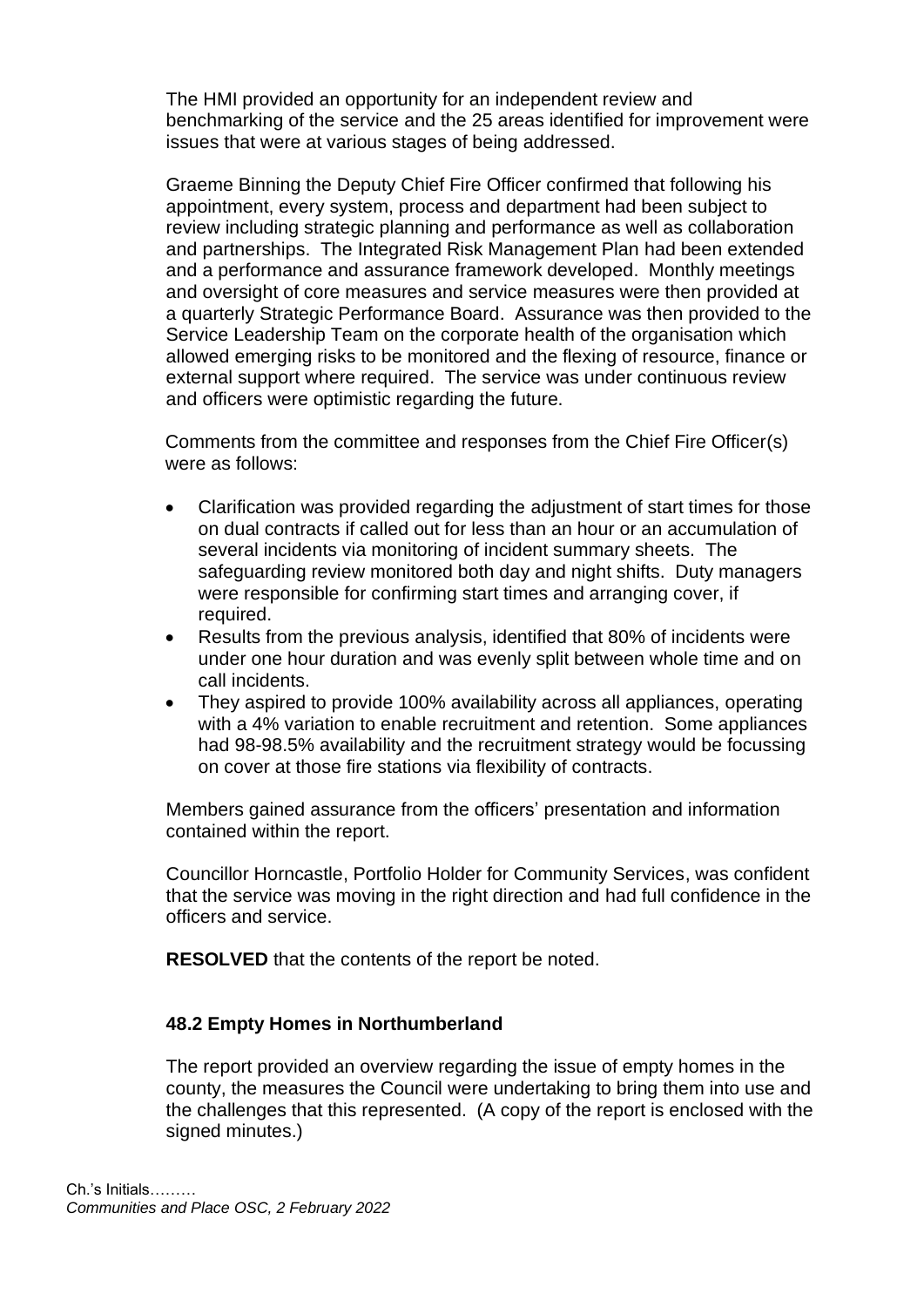The HMI provided an opportunity for an independent review and benchmarking of the service and the 25 areas identified for improvement were issues that were at various stages of being addressed.

Graeme Binning the Deputy Chief Fire Officer confirmed that following his appointment, every system, process and department had been subject to review including strategic planning and performance as well as collaboration and partnerships. The Integrated Risk Management Plan had been extended and a performance and assurance framework developed. Monthly meetings and oversight of core measures and service measures were then provided at a quarterly Strategic Performance Board. Assurance was then provided to the Service Leadership Team on the corporate health of the organisation which allowed emerging risks to be monitored and the flexing of resource, finance or external support where required. The service was under continuous review and officers were optimistic regarding the future.

Comments from the committee and responses from the Chief Fire Officer(s) were as follows:

- Clarification was provided regarding the adjustment of start times for those on dual contracts if called out for less than an hour or an accumulation of several incidents via monitoring of incident summary sheets. The safeguarding review monitored both day and night shifts. Duty managers were responsible for confirming start times and arranging cover, if required.
- Results from the previous analysis, identified that 80% of incidents were under one hour duration and was evenly split between whole time and on call incidents.
- They aspired to provide 100% availability across all appliances, operating with a 4% variation to enable recruitment and retention. Some appliances had 98-98.5% availability and the recruitment strategy would be focussing on cover at those fire stations via flexibility of contracts.

Members gained assurance from the officers' presentation and information contained within the report.

Councillor Horncastle, Portfolio Holder for Community Services, was confident that the service was moving in the right direction and had full confidence in the officers and service.

**RESOLVED** that the contents of the report be noted.

### **48.2 Empty Homes in Northumberland**

The report provided an overview regarding the issue of empty homes in the county, the measures the Council were undertaking to bring them into use and the challenges that this represented. (A copy of the report is enclosed with the signed minutes.)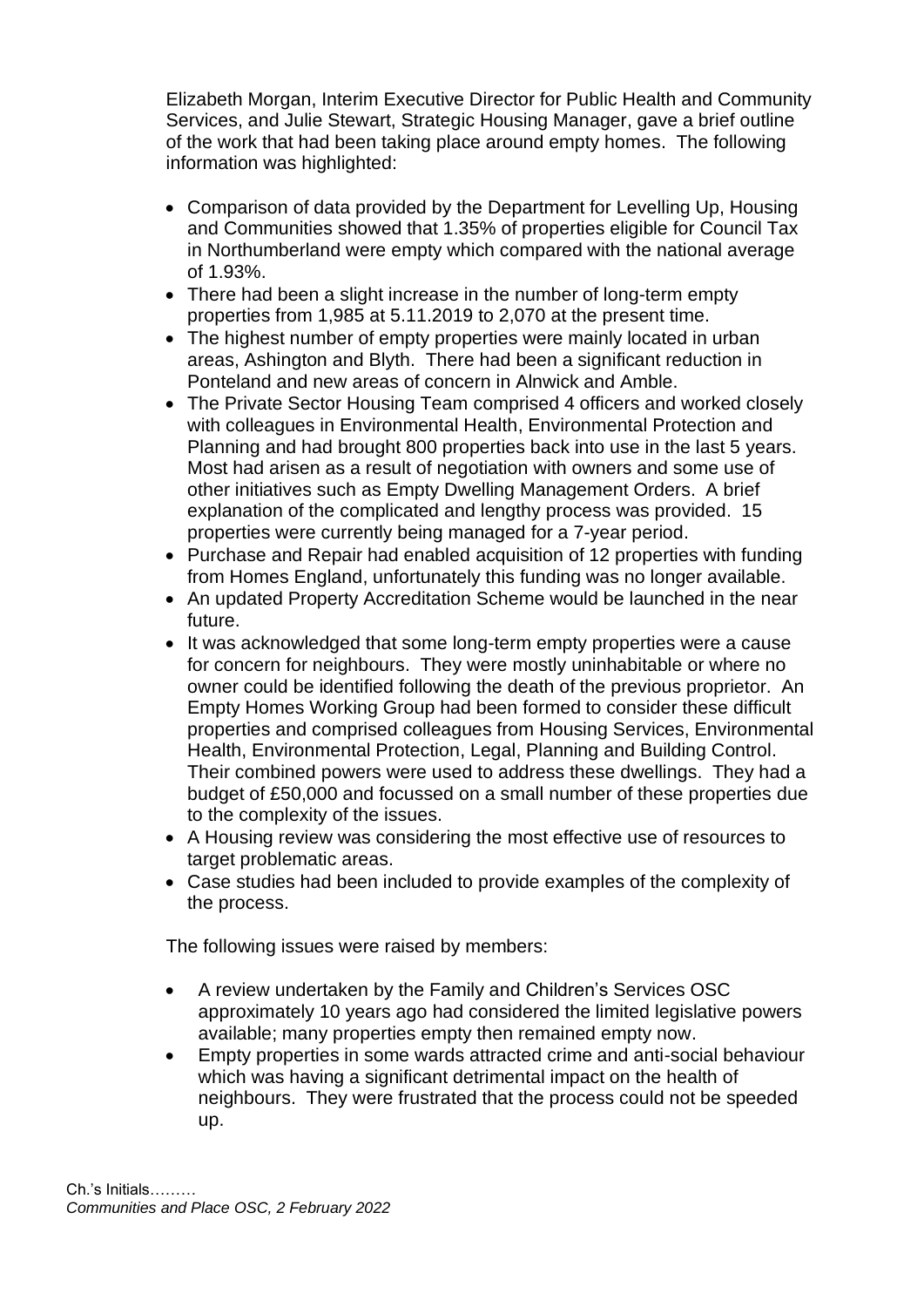Elizabeth Morgan, Interim Executive Director for Public Health and Community Services, and Julie Stewart, Strategic Housing Manager, gave a brief outline of the work that had been taking place around empty homes. The following information was highlighted:

- Comparison of data provided by the Department for Levelling Up, Housing and Communities showed that 1.35% of properties eligible for Council Tax in Northumberland were empty which compared with the national average of 1.93%.
- There had been a slight increase in the number of long-term empty properties from 1,985 at 5.11.2019 to 2,070 at the present time.
- The highest number of empty properties were mainly located in urban areas, Ashington and Blyth. There had been a significant reduction in Ponteland and new areas of concern in Alnwick and Amble.
- The Private Sector Housing Team comprised 4 officers and worked closely with colleagues in Environmental Health, Environmental Protection and Planning and had brought 800 properties back into use in the last 5 years. Most had arisen as a result of negotiation with owners and some use of other initiatives such as Empty Dwelling Management Orders. A brief explanation of the complicated and lengthy process was provided. 15 properties were currently being managed for a 7-year period.
- Purchase and Repair had enabled acquisition of 12 properties with funding from Homes England, unfortunately this funding was no longer available.
- An updated Property Accreditation Scheme would be launched in the near future.
- It was acknowledged that some long-term empty properties were a cause for concern for neighbours. They were mostly uninhabitable or where no owner could be identified following the death of the previous proprietor. An Empty Homes Working Group had been formed to consider these difficult properties and comprised colleagues from Housing Services, Environmental Health, Environmental Protection, Legal, Planning and Building Control. Their combined powers were used to address these dwellings. They had a budget of £50,000 and focussed on a small number of these properties due to the complexity of the issues.
- A Housing review was considering the most effective use of resources to target problematic areas.
- Case studies had been included to provide examples of the complexity of the process.

The following issues were raised by members:

- A review undertaken by the Family and Children's Services OSC approximately 10 years ago had considered the limited legislative powers available; many properties empty then remained empty now.
- Empty properties in some wards attracted crime and anti-social behaviour which was having a significant detrimental impact on the health of neighbours. They were frustrated that the process could not be speeded up.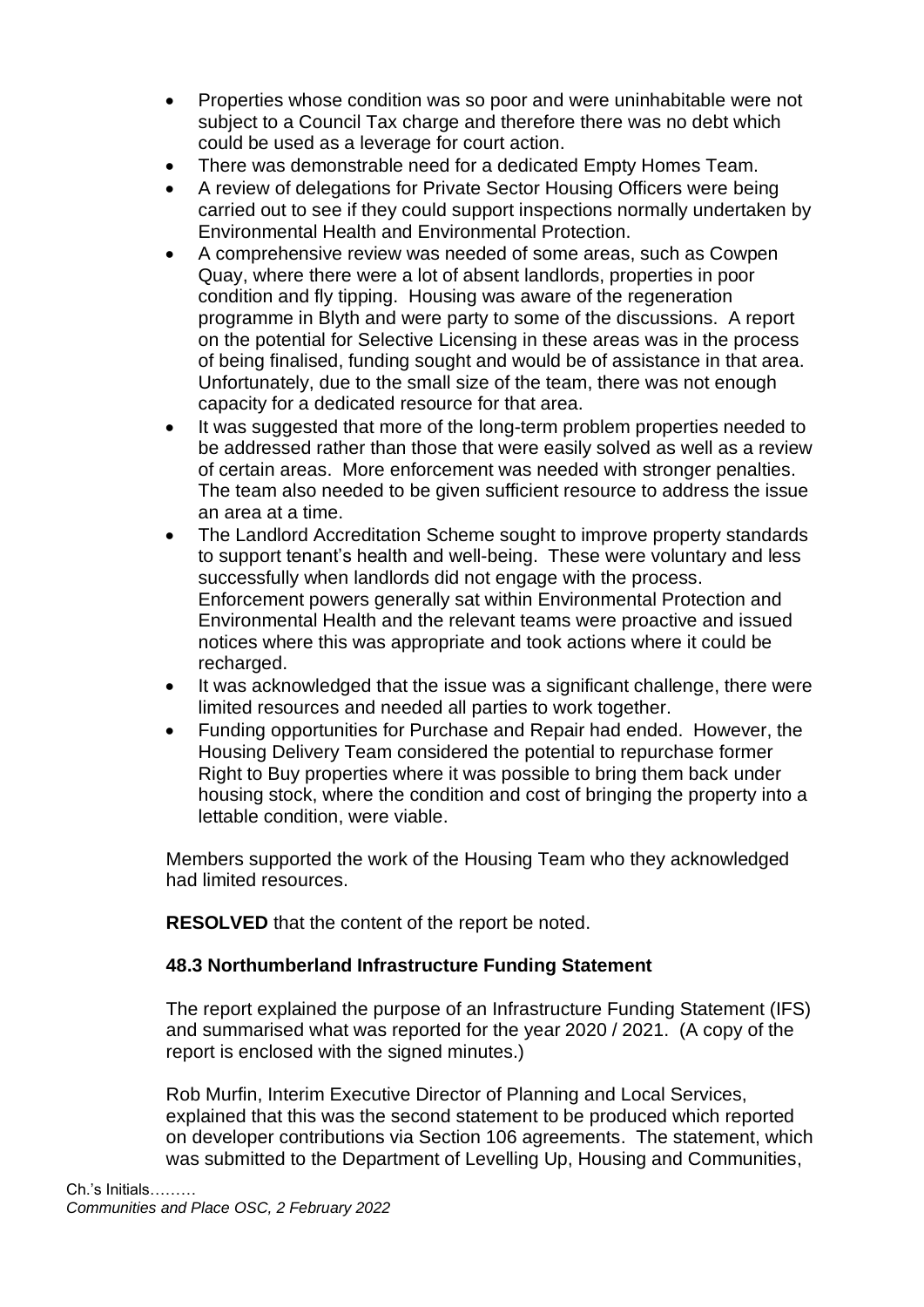- Properties whose condition was so poor and were uninhabitable were not subject to a Council Tax charge and therefore there was no debt which could be used as a leverage for court action.
- There was demonstrable need for a dedicated Empty Homes Team.
- A review of delegations for Private Sector Housing Officers were being carried out to see if they could support inspections normally undertaken by Environmental Health and Environmental Protection.
- A comprehensive review was needed of some areas, such as Cowpen Quay, where there were a lot of absent landlords, properties in poor condition and fly tipping. Housing was aware of the regeneration programme in Blyth and were party to some of the discussions. A report on the potential for Selective Licensing in these areas was in the process of being finalised, funding sought and would be of assistance in that area. Unfortunately, due to the small size of the team, there was not enough capacity for a dedicated resource for that area.
- It was suggested that more of the long-term problem properties needed to be addressed rather than those that were easily solved as well as a review of certain areas. More enforcement was needed with stronger penalties. The team also needed to be given sufficient resource to address the issue an area at a time.
- The Landlord Accreditation Scheme sought to improve property standards to support tenant's health and well-being. These were voluntary and less successfully when landlords did not engage with the process. Enforcement powers generally sat within Environmental Protection and Environmental Health and the relevant teams were proactive and issued notices where this was appropriate and took actions where it could be recharged.
- It was acknowledged that the issue was a significant challenge, there were limited resources and needed all parties to work together.
- Funding opportunities for Purchase and Repair had ended. However, the Housing Delivery Team considered the potential to repurchase former Right to Buy properties where it was possible to bring them back under housing stock, where the condition and cost of bringing the property into a lettable condition, were viable.

Members supported the work of the Housing Team who they acknowledged had limited resources.

**RESOLVED** that the content of the report be noted.

# **48.3 Northumberland Infrastructure Funding Statement**

The report explained the purpose of an Infrastructure Funding Statement (IFS) and summarised what was reported for the year 2020 / 2021. (A copy of the report is enclosed with the signed minutes.)

Rob Murfin, Interim Executive Director of Planning and Local Services, explained that this was the second statement to be produced which reported on developer contributions via Section 106 agreements. The statement, which was submitted to the Department of Levelling Up, Housing and Communities,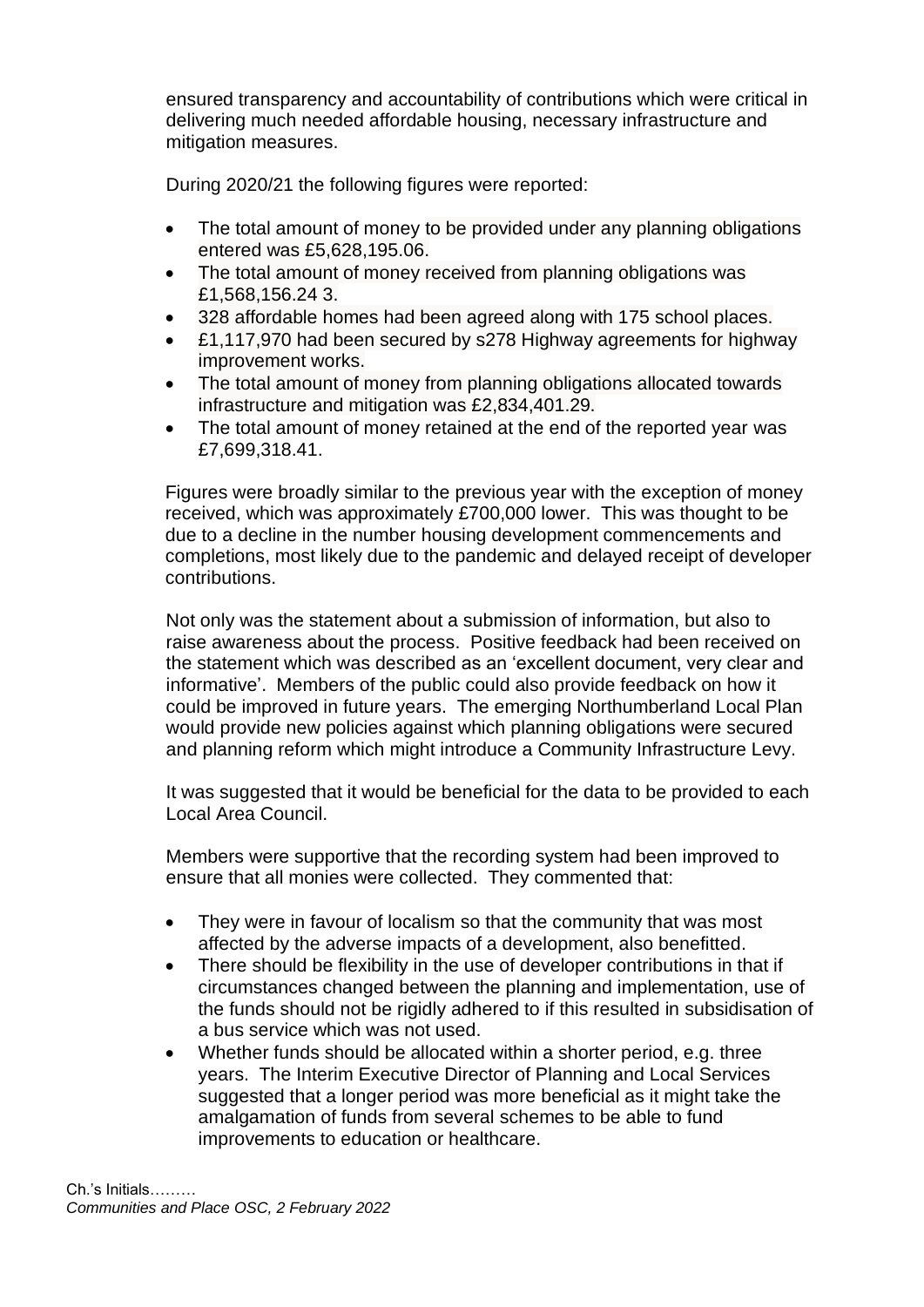ensured transparency and accountability of contributions which were critical in delivering much needed affordable housing, necessary infrastructure and mitigation measures.

During 2020/21 the following figures were reported:

- The total amount of money to be provided under any planning obligations entered was £5,628,195.06.
- The total amount of money received from planning obligations was £1,568,156.24 3.
- 328 affordable homes had been agreed along with 175 school places.
- £1,117,970 had been secured by s278 Highway agreements for highway improvement works.
- The total amount of money from planning obligations allocated towards infrastructure and mitigation was £2,834,401.29.
- The total amount of money retained at the end of the reported year was £7,699,318.41.

Figures were broadly similar to the previous year with the exception of money received, which was approximately £700,000 lower. This was thought to be due to a decline in the number housing development commencements and completions, most likely due to the pandemic and delayed receipt of developer contributions.

Not only was the statement about a submission of information, but also to raise awareness about the process. Positive feedback had been received on the statement which was described as an 'excellent document, very clear and informative'. Members of the public could also provide feedback on how it could be improved in future years. The emerging Northumberland Local Plan would provide new policies against which planning obligations were secured and planning reform which might introduce a Community Infrastructure Levy.

It was suggested that it would be beneficial for the data to be provided to each Local Area Council.

Members were supportive that the recording system had been improved to ensure that all monies were collected. They commented that:

- They were in favour of localism so that the community that was most affected by the adverse impacts of a development, also benefitted.
- There should be flexibility in the use of developer contributions in that if circumstances changed between the planning and implementation, use of the funds should not be rigidly adhered to if this resulted in subsidisation of a bus service which was not used.
- Whether funds should be allocated within a shorter period, e.g. three years. The Interim Executive Director of Planning and Local Services suggested that a longer period was more beneficial as it might take the amalgamation of funds from several schemes to be able to fund improvements to education or healthcare.